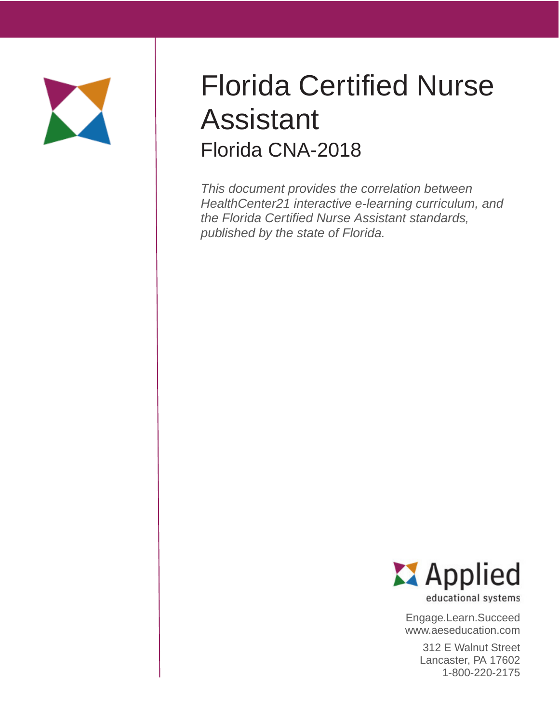

# Florida Certified Nurse Assistant Florida CNA-2018

This document provides the correlation between HealthCenter21 interactive e-learning curriculum, and the Florida Certified Nurse Assistant standards, published by the state of Florida.



educational systems

Engage.Learn.Succeed www.aeseducation.com

> 312 E Walnut Street Lancaster, PA 17602 1-800-220-2175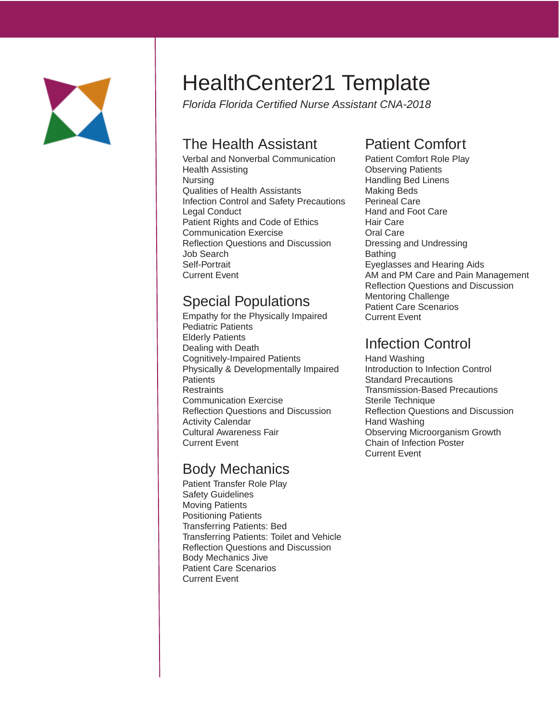

# HealthCenter21 Template

Florida Florida Certified Nurse Assistant CNA-2018

#### The Health Assistant

Verbal and Nonverbal Communication Health Assisting Nursing Qualities of Health Assistants Infection Control and Safety Precautions Legal Conduct Patient Rights and Code of Ethics Communication Exercise Reflection Questions and Discussion Job Search Self-Portrait Current Event

#### Special Populations

Empathy for the Physically Impaired Pediatric Patients Elderly Patients Dealing with Death Cognitively-Impaired Patients Physically & Developmentally Impaired **Patients Restraints** Communication Exercise Reflection Questions and Discussion Activity Calendar Cultural Awareness Fair Current Event

#### Body Mechanics

Patient Transfer Role Play Safety Guidelines Moving Patients Positioning Patients Transferring Patients: Bed Transferring Patients: Toilet and Vehicle Reflection Questions and Discussion Body Mechanics Jive Patient Care Scenarios Current Event

# Patient Comfort

Patient Comfort Role Play Observing Patients Handling Bed Linens Making Beds Perineal Care Hand and Foot Care Hair Care Oral Care Dressing and Undressing Bathing Eyeglasses and Hearing Aids AM and PM Care and Pain Management Reflection Questions and Discussion Mentoring Challenge Patient Care Scenarios Current Event

#### Infection Control

Hand Washing Introduction to Infection Control Standard Precautions Transmission-Based Precautions Sterile Technique Reflection Questions and Discussion Hand Washing Observing Microorganism Growth Chain of Infection Poster Current Event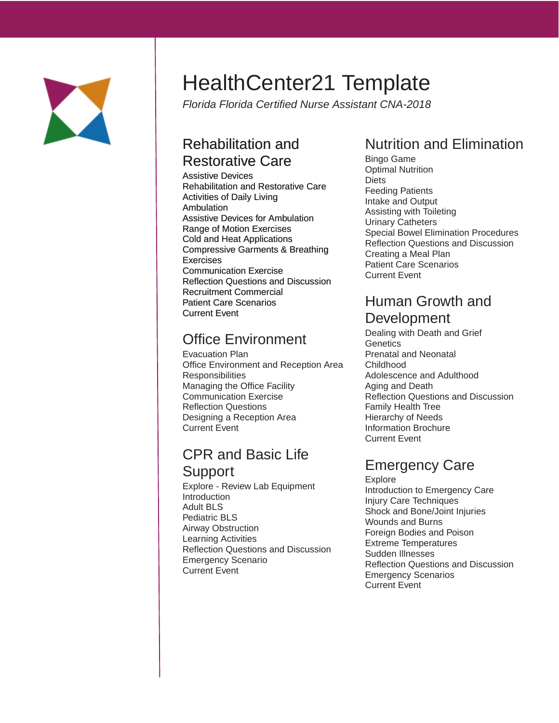

# HealthCenter21 Template

Florida Florida Certified Nurse Assistant CNA-2018

#### Rehabilitation and Restorative Care

Assistive Devices Rehabilitation and Restorative Care Activities of Daily Living Ambulation Assistive Devices for Ambulation Range of Motion Exercises Cold and Heat Applications Compressive Garments & Breathing **Exercises** Communication Exercise Reflection Questions and Discussion Recruitment Commercial Patient Care Scenarios Current Event

# Office Environment

Evacuation Plan Office Environment and Reception Area **Responsibilities** Managing the Office Facility Communication Exercise Reflection Questions Designing a Reception Area Current Event

### CPR and Basic Life Support

Explore - Review Lab Equipment Introduction Adult BLS Pediatric BLS Airway Obstruction Learning Activities Reflection Questions and Discussion Emergency Scenario Current Event

# Nutrition and Elimination

Bingo Game Optimal Nutrition Diets Feeding Patients Intake and Output Assisting with Toileting Urinary Catheters Special Bowel Elimination Procedures Reflection Questions and Discussion Creating a Meal Plan Patient Care Scenarios Current Event

#### Human Growth and Development

Dealing with Death and Grief **Genetics** Prenatal and Neonatal Childhood Adolescence and Adulthood Aging and Death Reflection Questions and Discussion Family Health Tree Hierarchy of Needs Information Brochure Current Event

# Emergency Care

Explore Introduction to Emergency Care Injury Care Techniques Shock and Bone/Joint Injuries Wounds and Burns Foreign Bodies and Poison Extreme Temperatures Sudden Illnesses Reflection Questions and Discussion Emergency Scenarios Current Event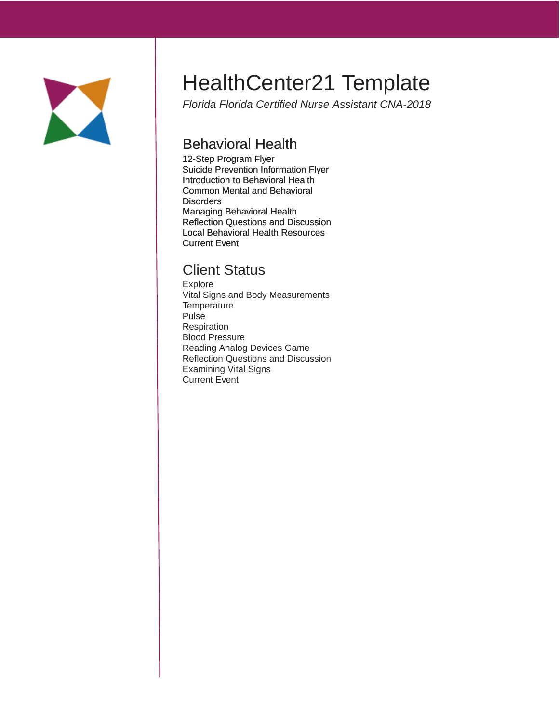

# HealthCenter21 Template

Florida Florida Certified Nurse Assistant CNA-2018

#### Behavioral Health

12-Step Program Flyer Suicide Prevention Information Flyer Introduction to Behavioral Health Common Mental and Behavioral **Disorders** Managing Behavioral Health Reflection Questions and Discussion Local Behavioral Health Resources Current Event

#### Client Status

Explore Vital Signs and Body Measurements **Temperature** Pulse Respiration Blood Pressure Reading Analog Devices Game Reflection Questions and Discussion Examining Vital Signs Current Event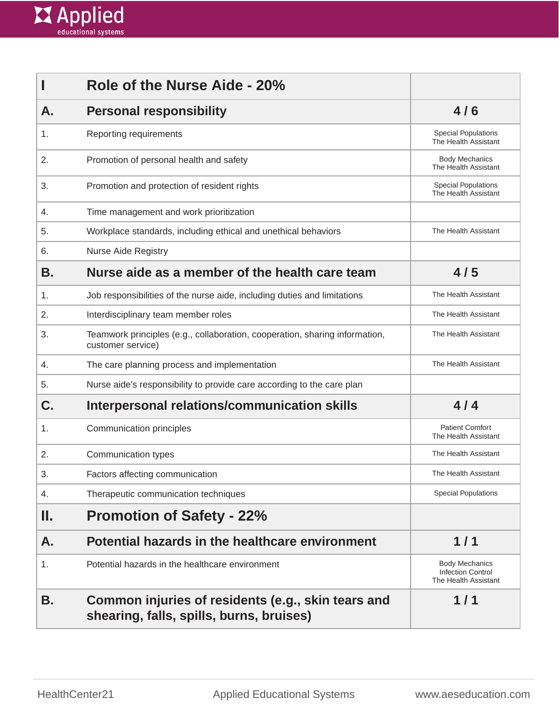

|     | Role of the Nurse Aide - 20%                                                                     |                                                                           |
|-----|--------------------------------------------------------------------------------------------------|---------------------------------------------------------------------------|
| А.  | <b>Personal responsibility</b>                                                                   | 4/6                                                                       |
| 1.  | Reporting requirements                                                                           | <b>Special Populations</b><br>The Health Assistant                        |
| 2.  | Promotion of personal health and safety                                                          | <b>Body Mechanics</b><br>The Health Assistant                             |
| 3.  | Promotion and protection of resident rights                                                      | <b>Special Populations</b><br>The Health Assistant                        |
| 4.  | Time management and work prioritization                                                          |                                                                           |
| 5.  | Workplace standards, including ethical and unethical behaviors                                   | The Health Assistant                                                      |
| 6.  | <b>Nurse Aide Registry</b>                                                                       |                                                                           |
| В.  | Nurse aide as a member of the health care team                                                   | 4/5                                                                       |
| 1.  | Job responsibilities of the nurse aide, including duties and limitations                         | The Health Assistant                                                      |
| 2.  | Interdisciplinary team member roles                                                              | The Health Assistant                                                      |
| 3.  | Teamwork principles (e.g., collaboration, cooperation, sharing information,<br>customer service) | The Health Assistant                                                      |
| 4.  | The care planning process and implementation                                                     | The Health Assistant                                                      |
| 5.  | Nurse aide's responsibility to provide care according to the care plan                           |                                                                           |
| C.  | Interpersonal relations/communication skills                                                     | 4/4                                                                       |
| 1.  | Communication principles                                                                         | <b>Patient Comfort</b><br>The Health Assistant                            |
| 2.  | Communication types                                                                              | The Health Assistant                                                      |
| 3.  | Factors affecting communication                                                                  | The Health Assistant                                                      |
| 4.  | Therapeutic communication techniques                                                             | <b>Special Populations</b>                                                |
| II. | <b>Promotion of Safety - 22%</b>                                                                 |                                                                           |
| А.  | Potential hazards in the healthcare environment                                                  | 1/1                                                                       |
| 1.  | Potential hazards in the healthcare environment                                                  | <b>Body Mechanics</b><br><b>Infection Control</b><br>The Health Assistant |
| В.  | Common injuries of residents (e.g., skin tears and<br>shearing, falls, spills, burns, bruises)   | 1/1                                                                       |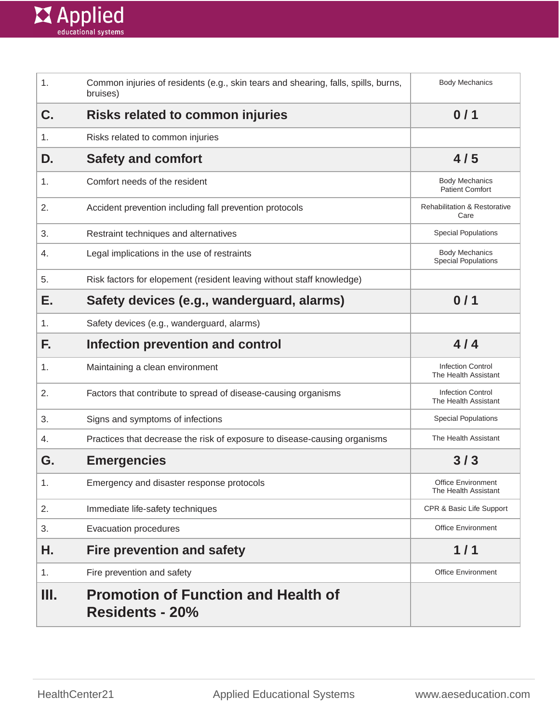

| 1. | Common injuries of residents (e.g., skin tears and shearing, falls, spills, burns,<br>bruises) | <b>Body Mechanics</b>                               |
|----|------------------------------------------------------------------------------------------------|-----------------------------------------------------|
| C. | Risks related to common injuries                                                               | 0/1                                                 |
| 1. | Risks related to common injuries                                                               |                                                     |
| D. | <b>Safety and comfort</b>                                                                      | 4/5                                                 |
| 1. | Comfort needs of the resident                                                                  | <b>Body Mechanics</b><br><b>Patient Comfort</b>     |
| 2. | Accident prevention including fall prevention protocols                                        | <b>Rehabilitation &amp; Restorative</b><br>Care     |
| 3. | Restraint techniques and alternatives                                                          | <b>Special Populations</b>                          |
| 4. | Legal implications in the use of restraints                                                    | <b>Body Mechanics</b><br><b>Special Populations</b> |
| 5. | Risk factors for elopement (resident leaving without staff knowledge)                          |                                                     |
| Е. | Safety devices (e.g., wanderguard, alarms)                                                     | 0/1                                                 |
| 1. | Safety devices (e.g., wanderguard, alarms)                                                     |                                                     |
| F. | Infection prevention and control                                                               | 4/4                                                 |
| 1. | Maintaining a clean environment                                                                | <b>Infection Control</b><br>The Health Assistant    |
| 2. | Factors that contribute to spread of disease-causing organisms                                 | <b>Infection Control</b><br>The Health Assistant    |
| 3. | Signs and symptoms of infections                                                               | <b>Special Populations</b>                          |
| 4. | Practices that decrease the risk of exposure to disease-causing organisms                      | The Health Assistant                                |
| G. | <b>Emergencies</b>                                                                             | 3/3                                                 |
| 1. | Emergency and disaster response protocols                                                      | Office Environment<br>The Health Assistant          |
| 2. | Immediate life-safety techniques                                                               | CPR & Basic Life Support                            |
| 3. | Evacuation procedures                                                                          | <b>Office Environment</b>                           |
| Η. | <b>Fire prevention and safety</b>                                                              | 1/1                                                 |
| 1. | Fire prevention and safety                                                                     | <b>Office Environment</b>                           |
| Ш. | <b>Promotion of Function and Health of</b><br><b>Residents - 20%</b>                           |                                                     |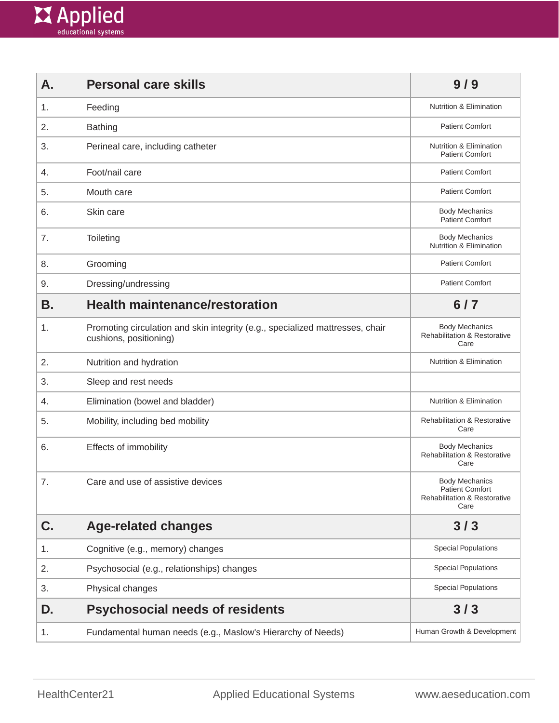

| А. | <b>Personal care skills</b>                                                                             | 9/9                                                                                                |
|----|---------------------------------------------------------------------------------------------------------|----------------------------------------------------------------------------------------------------|
| 1. | Feeding                                                                                                 | <b>Nutrition &amp; Elimination</b>                                                                 |
| 2. | <b>Bathing</b>                                                                                          | <b>Patient Comfort</b>                                                                             |
| 3. | Perineal care, including catheter                                                                       | <b>Nutrition &amp; Elimination</b><br><b>Patient Comfort</b>                                       |
| 4. | Foot/nail care                                                                                          | <b>Patient Comfort</b>                                                                             |
| 5. | Mouth care                                                                                              | <b>Patient Comfort</b>                                                                             |
| 6. | Skin care                                                                                               | <b>Body Mechanics</b><br><b>Patient Comfort</b>                                                    |
| 7. | Toileting                                                                                               | <b>Body Mechanics</b><br>Nutrition & Elimination                                                   |
| 8. | Grooming                                                                                                | <b>Patient Comfort</b>                                                                             |
| 9. | Dressing/undressing                                                                                     | <b>Patient Comfort</b>                                                                             |
| Β. | <b>Health maintenance/restoration</b>                                                                   | $6/7$                                                                                              |
| 1. | Promoting circulation and skin integrity (e.g., specialized mattresses, chair<br>cushions, positioning) | <b>Body Mechanics</b><br><b>Rehabilitation &amp; Restorative</b><br>Care                           |
| 2. | Nutrition and hydration                                                                                 | Nutrition & Elimination                                                                            |
| 3. | Sleep and rest needs                                                                                    |                                                                                                    |
| 4. | Elimination (bowel and bladder)                                                                         | <b>Nutrition &amp; Elimination</b>                                                                 |
| 5. | Mobility, including bed mobility                                                                        | <b>Rehabilitation &amp; Restorative</b><br>Care                                                    |
| 6. | Effects of immobility                                                                                   | <b>Body Mechanics</b><br>Rehabilitation & Restorative<br>Care                                      |
| 7. | Care and use of assistive devices                                                                       | <b>Body Mechanics</b><br><b>Patient Comfort</b><br><b>Rehabilitation &amp; Restorative</b><br>Care |
| C. | <b>Age-related changes</b>                                                                              | 3/3                                                                                                |
| 1. | Cognitive (e.g., memory) changes                                                                        | <b>Special Populations</b>                                                                         |
| 2. | Psychosocial (e.g., relationships) changes                                                              | <b>Special Populations</b>                                                                         |
| 3. | Physical changes                                                                                        | <b>Special Populations</b>                                                                         |
| D. | <b>Psychosocial needs of residents</b>                                                                  | 3/3                                                                                                |
| 1. | Fundamental human needs (e.g., Maslow's Hierarchy of Needs)                                             | Human Growth & Development                                                                         |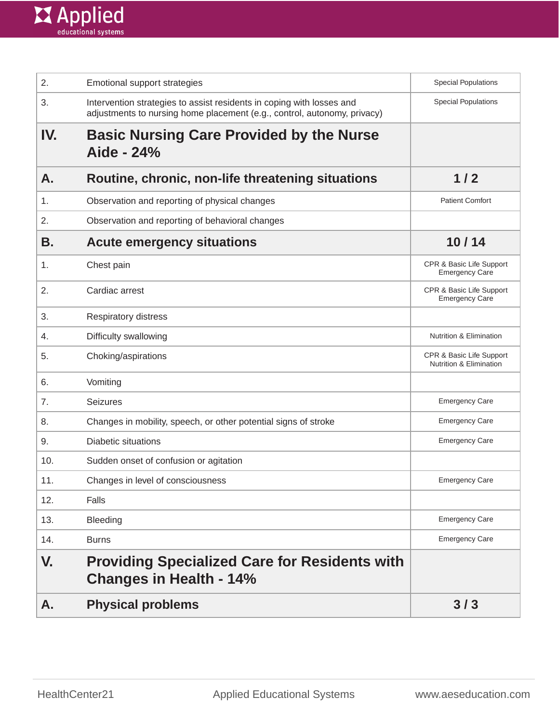

| 2.  | Emotional support strategies                                                                                                                      | <b>Special Populations</b>                                     |
|-----|---------------------------------------------------------------------------------------------------------------------------------------------------|----------------------------------------------------------------|
| 3.  | Intervention strategies to assist residents in coping with losses and<br>adjustments to nursing home placement (e.g., control, autonomy, privacy) | <b>Special Populations</b>                                     |
| IV. | <b>Basic Nursing Care Provided by the Nurse</b><br>Aide - 24%                                                                                     |                                                                |
| А.  | Routine, chronic, non-life threatening situations                                                                                                 | 1/2                                                            |
| 1.  | Observation and reporting of physical changes                                                                                                     | <b>Patient Comfort</b>                                         |
| 2.  | Observation and reporting of behavioral changes                                                                                                   |                                                                |
| В.  | <b>Acute emergency situations</b>                                                                                                                 | 10/14                                                          |
| 1.  | Chest pain                                                                                                                                        | CPR & Basic Life Support<br><b>Emergency Care</b>              |
| 2.  | Cardiac arrest                                                                                                                                    | CPR & Basic Life Support<br><b>Emergency Care</b>              |
| 3.  | Respiratory distress                                                                                                                              |                                                                |
| 4.  | Difficulty swallowing                                                                                                                             | <b>Nutrition &amp; Elimination</b>                             |
| 5.  | Choking/aspirations                                                                                                                               | CPR & Basic Life Support<br><b>Nutrition &amp; Elimination</b> |
| 6.  | Vomiting                                                                                                                                          |                                                                |
| 7.  | <b>Seizures</b>                                                                                                                                   | <b>Emergency Care</b>                                          |
| 8.  | Changes in mobility, speech, or other potential signs of stroke                                                                                   | <b>Emergency Care</b>                                          |
| 9.  | <b>Diabetic situations</b>                                                                                                                        | <b>Emergency Care</b>                                          |
| 10. | Sudden onset of confusion or agitation                                                                                                            |                                                                |
| 11. | Changes in level of consciousness                                                                                                                 | <b>Emergency Care</b>                                          |
| 12. | Falls                                                                                                                                             |                                                                |
| 13. | Bleeding                                                                                                                                          | <b>Emergency Care</b>                                          |
| 14. | <b>Burns</b>                                                                                                                                      | <b>Emergency Care</b>                                          |
| V.  | <b>Providing Specialized Care for Residents with</b><br><b>Changes in Health - 14%</b>                                                            |                                                                |
| Α.  | <b>Physical problems</b>                                                                                                                          | 3/3                                                            |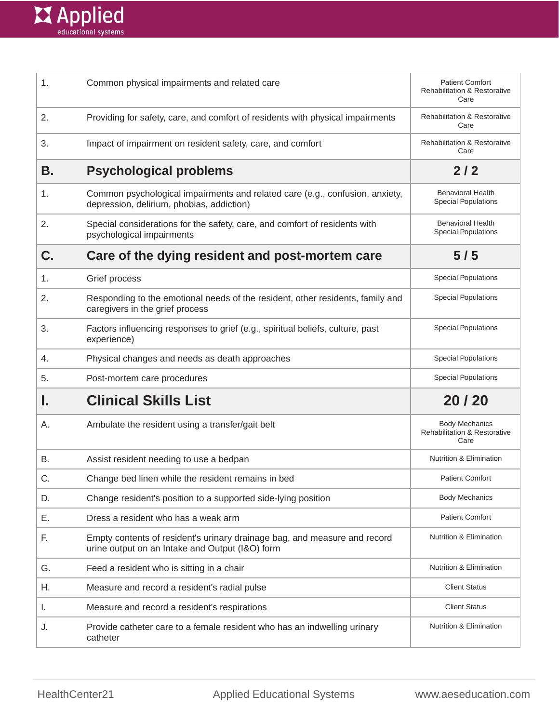

| 1. | Common physical impairments and related care                                                                                 | <b>Patient Comfort</b><br><b>Rehabilitation &amp; Restorative</b><br>Care |
|----|------------------------------------------------------------------------------------------------------------------------------|---------------------------------------------------------------------------|
| 2. | Providing for safety, care, and comfort of residents with physical impairments                                               | <b>Rehabilitation &amp; Restorative</b><br>Care                           |
| 3. | Impact of impairment on resident safety, care, and comfort                                                                   | <b>Rehabilitation &amp; Restorative</b><br>Care                           |
| В. | <b>Psychological problems</b>                                                                                                | 2/2                                                                       |
| 1. | Common psychological impairments and related care (e.g., confusion, anxiety,<br>depression, delirium, phobias, addiction)    | <b>Behavioral Health</b><br><b>Special Populations</b>                    |
| 2. | Special considerations for the safety, care, and comfort of residents with<br>psychological impairments                      | <b>Behavioral Health</b><br><b>Special Populations</b>                    |
| C. | Care of the dying resident and post-mortem care                                                                              | 5/5                                                                       |
| 1. | Grief process                                                                                                                | <b>Special Populations</b>                                                |
| 2. | Responding to the emotional needs of the resident, other residents, family and<br>caregivers in the grief process            | <b>Special Populations</b>                                                |
| 3. | Factors influencing responses to grief (e.g., spiritual beliefs, culture, past<br>experience)                                | <b>Special Populations</b>                                                |
| 4. | Physical changes and needs as death approaches                                                                               | <b>Special Populations</b>                                                |
| 5. | Post-mortem care procedures                                                                                                  | <b>Special Populations</b>                                                |
| ı. | <b>Clinical Skills List</b>                                                                                                  | 20 / 20                                                                   |
| А. | Ambulate the resident using a transfer/gait belt                                                                             | <b>Body Mechanics</b><br><b>Rehabilitation &amp; Restorative</b><br>Care  |
| В. | Assist resident needing to use a bedpan                                                                                      | <b>Nutrition &amp; Elimination</b>                                        |
| C. | Change bed linen while the resident remains in bed                                                                           | <b>Patient Comfort</b>                                                    |
| D. | Change resident's position to a supported side-lying position                                                                | <b>Body Mechanics</b>                                                     |
| Ε. | Dress a resident who has a weak arm                                                                                          | <b>Patient Comfort</b>                                                    |
| F. | Empty contents of resident's urinary drainage bag, and measure and record<br>urine output on an Intake and Output (I&O) form | <b>Nutrition &amp; Elimination</b>                                        |
| G. | Feed a resident who is sitting in a chair                                                                                    | Nutrition & Elimination                                                   |
| Н. | Measure and record a resident's radial pulse                                                                                 | <b>Client Status</b>                                                      |
| Τ. | Measure and record a resident's respirations                                                                                 | <b>Client Status</b>                                                      |
| J. | Provide catheter care to a female resident who has an indwelling urinary<br>catheter                                         | <b>Nutrition &amp; Elimination</b>                                        |